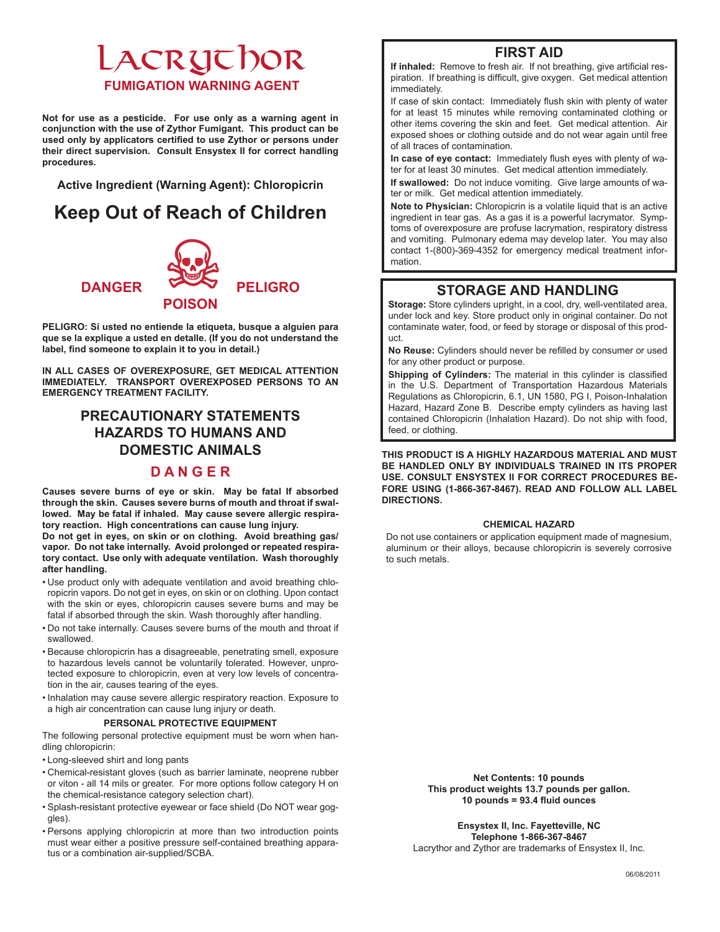# LACRUTHOR **FUMIGATION WARNING AGENT**

**Not for use as a pesticide. For use only as a warning agent in conjunction with the use of Zythor Fumigant. This product can be used only by applicators certified to use Zythor or persons under their direct supervision. Consult Ensystex II for correct handling procedures.**

**Active Ingredient (Warning Agent): Chloropicrin** 

## **Keep Out of Reach of Children**



**PELIGRO: Si usted no entiende la etiqueta, busque a alguien para que se la explique a usted en detalle. (If you do not understand the label, find someone to explain it to you in detail.)**

**IN ALL CASES OF OVEREXPOSURE, GET MEDICAL ATTENTION IMMEDIATELY. TRANSPORT OVEREXPOSED PERSONS TO AN EMERGENCY TREATMENT FACILITY.**

### **PRECAUTIONARY STATEMENTS HAZARDS TO HUMANS AND DOMESTIC ANIMALS**

### **D A N G E R**

**Causes severe burns of eye or skin. May be fatal If absorbed through the skin. Causes severe burns of mouth and throat if swallowed. May be fatal if inhaled. May cause severe allergic respiratory reaction. High concentrations can cause lung injury.**

**Do not get in eyes, on skin or on clothing. Avoid breathing gas/ vapor. Do not take internally. Avoid prolonged or repeated respiratory contact. Use only with adequate ventilation. Wash thoroughly after handling.**

- • Use product only with adequate ventilation and avoid breathing chloropicrin vapors. Do not get in eyes, on skin or on clothing. Upon contact with the skin or eyes, chloropicrin causes severe burns and may be fatal if absorbed through the skin. Wash thoroughly after handling.
- • Do not take internally. Causes severe burns of the mouth and throat if swallowed.
- • Because chloropicrin has a disagreeable, penetrating smell, exposure to hazardous levels cannot be voluntarily tolerated. However, unprotected exposure to chloropicrin, even at very low levels of concentration in the air, causes tearing of the eyes.
- • Inhalation may cause severe allergic respiratory reaction. Exposure to a high air concentration can cause lung injury or death.

#### **PERSONAL PROTECTIVE EQUIPMENT**

The following personal protective equipment must be worn when handling chloropicrin:

- • Long-sleeved shirt and long pants
- • Chemical-resistant gloves (such as barrier laminate, neoprene rubber or viton - all 14 mils or greater. For more options follow category H on the chemical-resistance category selection chart).
- • Splash-resistant protective eyewear or face shield (Do NOT wear goggles).
- • Persons applying chloropicrin at more than two introduction points must wear either a positive pressure self-contained breathing apparatus or a combination air-supplied/SCBA.

### **FIRST AID**

**If inhaled:** Remove to fresh air. If not breathing, give artificial respiration. If breathing is difficult, give oxygen. Get medical attention immediately.

If case of skin contact: Immediately flush skin with plenty of water for at least 15 minutes while removing contaminated clothing or other items covering the skin and feet. Get medical attention. Air exposed shoes or clothing outside and do not wear again until free of all traces of contamination.

**In case of eye contact:** Immediately flush eyes with plenty of water for at least 30 minutes. Get medical attention immediately.

**If swallowed:** Do not induce vomiting. Give large amounts of water or milk. Get medical attention immediately.

**Note to Physician:** Chloropicrin is a volatile liquid that is an active ingredient in tear gas. As a gas it is a powerful lacrymator. Symptoms of overexposure are profuse lacrymation, respiratory distress and vomiting. Pulmonary edema may develop later. You may also contact 1-(800)-369-4352 for emergency medical treatment information.

### **STORAGE AND HANDLING**

**Storage:** Store cylinders upright, in a cool, dry, well-ventilated area, under lock and key. Store product only in original container. Do not contaminate water, food, or feed by storage or disposal of this product.

**No Reuse:** Cylinders should never be refilled by consumer or used for any other product or purpose.

**Shipping of Cylinders:** The material in this cylinder is classified in the U.S. Department of Transportation Hazardous Materials Regulations as Chloropicrin, 6.1, UN 1580, PG I, Poison-Inhalation Hazard, Hazard Zone B. Describe empty cylinders as having last contained Chloropicrin (Inhalation Hazard). Do not ship with food, feed, or clothing.

**THIS PRODUCT IS A HIGHLY HAZARDOUS MATERIAL AND MUST BE HANDLED ONLY BY INDIVIDUALS TRAINED IN ITS PROPER USE. CONSULT ENSYSTEX II FOR CORRECT PROCEDURES BE-FORE USING (1-866-367-8467). READ AND FOLLOW ALL LABEL DIRECTIONS.**

#### **CHEMICAL HAZARD**

Do not use containers or application equipment made of magnesium, aluminum or their alloys, because chloropicrin is severely corrosive to such metals.

> **Net Contents: 10 pounds This product weights 13.7 pounds per gallon. 10 pounds = 93.4 fluid ounces**

**Ensystex II, Inc. Fayetteville, NC Telephone 1-866-367-8467** Lacrythor and Zythor are trademarks of Ensystex II, Inc.